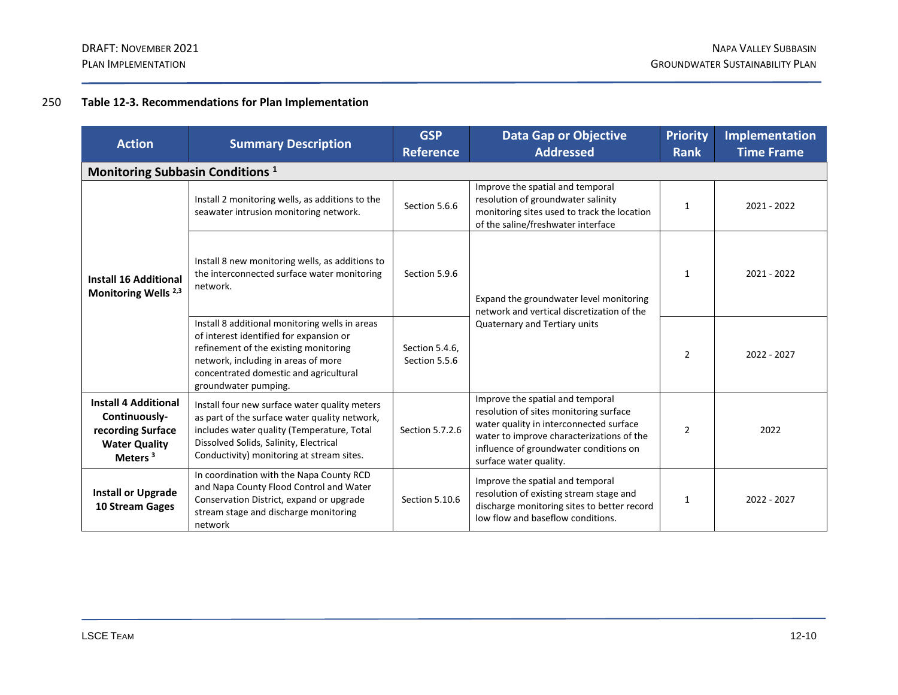# 250 **Table 12-3. Recommendations for Plan Implementation**

| <b>Action</b>                                                                                                    | <b>Summary Description</b>                                                                                                                                                                                                                  | <b>GSP</b><br><b>Reference</b>  | <b>Data Gap or Objective</b><br><b>Addressed</b>                                                                                                                                                                                       | <b>Priority</b><br><b>Rank</b> | <b>Implementation</b><br><b>Time Frame</b> |  |  |
|------------------------------------------------------------------------------------------------------------------|---------------------------------------------------------------------------------------------------------------------------------------------------------------------------------------------------------------------------------------------|---------------------------------|----------------------------------------------------------------------------------------------------------------------------------------------------------------------------------------------------------------------------------------|--------------------------------|--------------------------------------------|--|--|
| Monitoring Subbasin Conditions <sup>1</sup>                                                                      |                                                                                                                                                                                                                                             |                                 |                                                                                                                                                                                                                                        |                                |                                            |  |  |
| <b>Install 16 Additional</b><br>Monitoring Wells <sup>2,3</sup>                                                  | Install 2 monitoring wells, as additions to the<br>seawater intrusion monitoring network.                                                                                                                                                   | Section 5.6.6                   | Improve the spatial and temporal<br>resolution of groundwater salinity<br>monitoring sites used to track the location<br>of the saline/freshwater interface                                                                            | $\mathbf{1}$                   | 2021 - 2022                                |  |  |
|                                                                                                                  | Install 8 new monitoring wells, as additions to<br>the interconnected surface water monitoring<br>network.                                                                                                                                  | Section 5.9.6                   | Expand the groundwater level monitoring<br>network and vertical discretization of the<br>Quaternary and Tertiary units                                                                                                                 | $\mathbf{1}$                   | 2021 - 2022                                |  |  |
|                                                                                                                  | Install 8 additional monitoring wells in areas<br>of interest identified for expansion or<br>refinement of the existing monitoring<br>network, including in areas of more<br>concentrated domestic and agricultural<br>groundwater pumping. | Section 5.4.6,<br>Section 5.5.6 |                                                                                                                                                                                                                                        | $\overline{2}$                 | 2022 - 2027                                |  |  |
| <b>Install 4 Additional</b><br>Continuously-<br>recording Surface<br><b>Water Quality</b><br>Meters <sup>3</sup> | Install four new surface water quality meters<br>as part of the surface water quality network,<br>includes water quality (Temperature, Total<br>Dissolved Solids, Salinity, Electrical<br>Conductivity) monitoring at stream sites.         | Section 5.7.2.6                 | Improve the spatial and temporal<br>resolution of sites monitoring surface<br>water quality in interconnected surface<br>water to improve characterizations of the<br>influence of groundwater conditions on<br>surface water quality. | $\overline{2}$                 | 2022                                       |  |  |
| <b>Install or Upgrade</b><br>10 Stream Gages                                                                     | In coordination with the Napa County RCD<br>and Napa County Flood Control and Water<br>Conservation District, expand or upgrade<br>stream stage and discharge monitoring<br>network                                                         | Section 5.10.6                  | Improve the spatial and temporal<br>resolution of existing stream stage and<br>discharge monitoring sites to better record<br>low flow and baseflow conditions.                                                                        | $\mathbf{1}$                   | 2022 - 2027                                |  |  |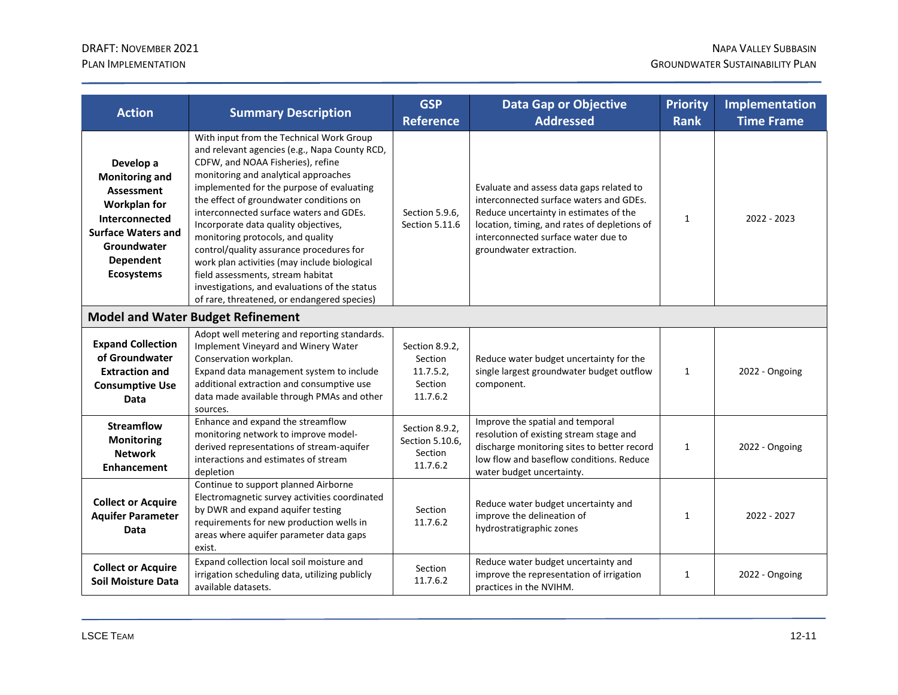| <b>Action</b>                                                                                                                                                                  | <b>Summary Description</b>                                                                                                                                                                                                                                                                                                                                                                                                                                                                                                                                                                                              | <b>GSP</b><br><b>Reference</b>                               | <b>Data Gap or Objective</b><br><b>Addressed</b>                                                                                                                                                                                                | <b>Priority</b><br><b>Rank</b> | <b>Implementation</b><br><b>Time Frame</b> |
|--------------------------------------------------------------------------------------------------------------------------------------------------------------------------------|-------------------------------------------------------------------------------------------------------------------------------------------------------------------------------------------------------------------------------------------------------------------------------------------------------------------------------------------------------------------------------------------------------------------------------------------------------------------------------------------------------------------------------------------------------------------------------------------------------------------------|--------------------------------------------------------------|-------------------------------------------------------------------------------------------------------------------------------------------------------------------------------------------------------------------------------------------------|--------------------------------|--------------------------------------------|
| Develop a<br><b>Monitoring and</b><br><b>Assessment</b><br>Workplan for<br>Interconnected<br><b>Surface Waters and</b><br>Groundwater<br><b>Dependent</b><br><b>Ecosystems</b> | With input from the Technical Work Group<br>and relevant agencies (e.g., Napa County RCD,<br>CDFW, and NOAA Fisheries), refine<br>monitoring and analytical approaches<br>implemented for the purpose of evaluating<br>the effect of groundwater conditions on<br>interconnected surface waters and GDEs.<br>Incorporate data quality objectives,<br>monitoring protocols, and quality<br>control/quality assurance procedures for<br>work plan activities (may include biological<br>field assessments, stream habitat<br>investigations, and evaluations of the status<br>of rare, threatened, or endangered species) | Section 5.9.6.<br>Section 5.11.6                             | Evaluate and assess data gaps related to<br>interconnected surface waters and GDEs.<br>Reduce uncertainty in estimates of the<br>location, timing, and rates of depletions of<br>interconnected surface water due to<br>groundwater extraction. | 1                              | 2022 - 2023                                |
|                                                                                                                                                                                | <b>Model and Water Budget Refinement</b>                                                                                                                                                                                                                                                                                                                                                                                                                                                                                                                                                                                |                                                              |                                                                                                                                                                                                                                                 |                                |                                            |
| <b>Expand Collection</b><br>of Groundwater<br><b>Extraction and</b><br><b>Consumptive Use</b><br>Data                                                                          | Adopt well metering and reporting standards.<br>Implement Vineyard and Winery Water<br>Conservation workplan.<br>Expand data management system to include<br>additional extraction and consumptive use<br>data made available through PMAs and other<br>sources.                                                                                                                                                                                                                                                                                                                                                        | Section 8.9.2.<br>Section<br>11.7.5.2<br>Section<br>11.7.6.2 | Reduce water budget uncertainty for the<br>single largest groundwater budget outflow<br>component.                                                                                                                                              | $\mathbf{1}$                   | 2022 - Ongoing                             |
| <b>Streamflow</b><br><b>Monitoring</b><br><b>Network</b><br><b>Enhancement</b>                                                                                                 | Enhance and expand the streamflow<br>monitoring network to improve model-<br>derived representations of stream-aquifer<br>interactions and estimates of stream<br>depletion                                                                                                                                                                                                                                                                                                                                                                                                                                             | Section 8.9.2,<br>Section 5.10.6.<br>Section<br>11.7.6.2     | Improve the spatial and temporal<br>resolution of existing stream stage and<br>discharge monitoring sites to better record<br>low flow and baseflow conditions. Reduce<br>water budget uncertainty.                                             | $\mathbf{1}$                   | 2022 - Ongoing                             |
| <b>Collect or Acquire</b><br><b>Aquifer Parameter</b><br><b>Data</b>                                                                                                           | Continue to support planned Airborne<br>Electromagnetic survey activities coordinated<br>by DWR and expand aquifer testing<br>requirements for new production wells in<br>areas where aquifer parameter data gaps<br>exist.                                                                                                                                                                                                                                                                                                                                                                                             | Section<br>11.7.6.2                                          | Reduce water budget uncertainty and<br>improve the delineation of<br>hydrostratigraphic zones                                                                                                                                                   | 1                              | 2022 - 2027                                |
| <b>Collect or Acquire</b><br><b>Soil Moisture Data</b>                                                                                                                         | Expand collection local soil moisture and<br>irrigation scheduling data, utilizing publicly<br>available datasets.                                                                                                                                                                                                                                                                                                                                                                                                                                                                                                      | Section<br>11.7.6.2                                          | Reduce water budget uncertainty and<br>improve the representation of irrigation<br>practices in the NVIHM.                                                                                                                                      | 1                              | 2022 - Ongoing                             |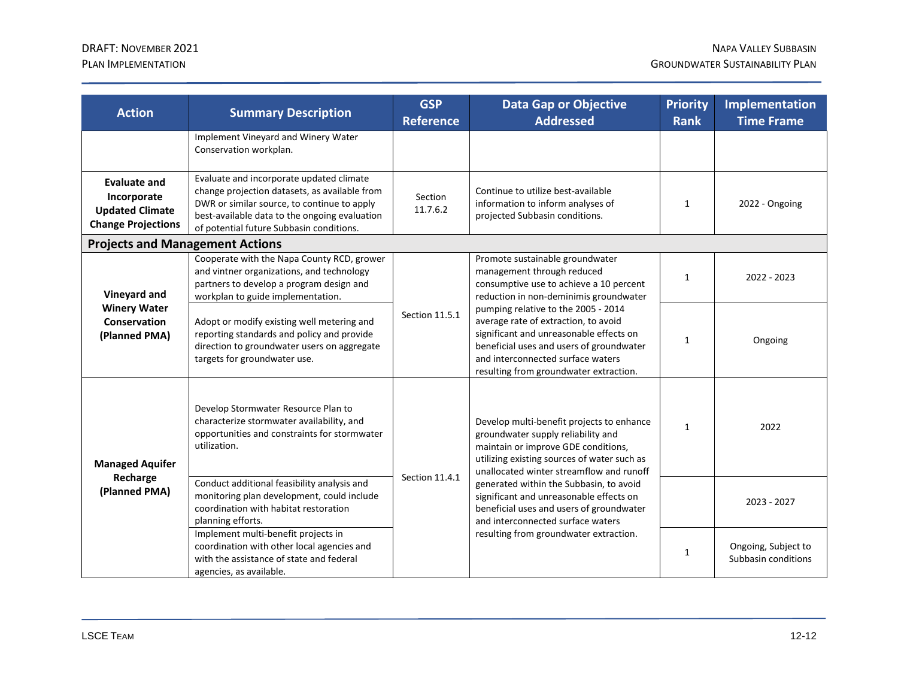| <b>Action</b>                                                                             | <b>Summary Description</b>                                                                                                                                                                                                            | <b>GSP</b><br><b>Reference</b> | <b>Data Gap or Objective</b><br><b>Addressed</b>                                                                                                                                                                                                                                                                                                                                                                                   | <b>Priority</b><br><b>Rank</b> | <b>Implementation</b><br><b>Time Frame</b> |
|-------------------------------------------------------------------------------------------|---------------------------------------------------------------------------------------------------------------------------------------------------------------------------------------------------------------------------------------|--------------------------------|------------------------------------------------------------------------------------------------------------------------------------------------------------------------------------------------------------------------------------------------------------------------------------------------------------------------------------------------------------------------------------------------------------------------------------|--------------------------------|--------------------------------------------|
|                                                                                           | Implement Vineyard and Winery Water<br>Conservation workplan.                                                                                                                                                                         |                                |                                                                                                                                                                                                                                                                                                                                                                                                                                    |                                |                                            |
| <b>Evaluate and</b><br>Incorporate<br><b>Updated Climate</b><br><b>Change Projections</b> | Evaluate and incorporate updated climate<br>change projection datasets, as available from<br>DWR or similar source, to continue to apply<br>best-available data to the ongoing evaluation<br>of potential future Subbasin conditions. | Section<br>11.7.6.2            | Continue to utilize best-available<br>information to inform analyses of<br>projected Subbasin conditions.                                                                                                                                                                                                                                                                                                                          | $\mathbf{1}$                   | 2022 - Ongoing                             |
| <b>Projects and Management Actions</b>                                                    |                                                                                                                                                                                                                                       |                                |                                                                                                                                                                                                                                                                                                                                                                                                                                    |                                |                                            |
| Vineyard and<br><b>Winery Water</b><br><b>Conservation</b><br>(Planned PMA)               | Cooperate with the Napa County RCD, grower<br>and vintner organizations, and technology<br>partners to develop a program design and<br>workplan to guide implementation.                                                              | Section 11.5.1                 | Promote sustainable groundwater<br>management through reduced<br>consumptive use to achieve a 10 percent<br>reduction in non-deminimis groundwater<br>pumping relative to the 2005 - 2014<br>average rate of extraction, to avoid<br>significant and unreasonable effects on<br>beneficial uses and users of groundwater<br>and interconnected surface waters<br>resulting from groundwater extraction.                            | $\mathbf{1}$                   | 2022 - 2023                                |
|                                                                                           | Adopt or modify existing well metering and<br>reporting standards and policy and provide<br>direction to groundwater users on aggregate<br>targets for groundwater use.                                                               |                                |                                                                                                                                                                                                                                                                                                                                                                                                                                    | 1                              | Ongoing                                    |
| <b>Managed Aquifer</b><br>Recharge<br>(Planned PMA)                                       | Develop Stormwater Resource Plan to<br>characterize stormwater availability, and<br>opportunities and constraints for stormwater<br>utilization.                                                                                      | Section 11.4.1                 | Develop multi-benefit projects to enhance<br>groundwater supply reliability and<br>maintain or improve GDE conditions,<br>utilizing existing sources of water such as<br>unallocated winter streamflow and runoff<br>generated within the Subbasin, to avoid<br>significant and unreasonable effects on<br>beneficial uses and users of groundwater<br>and interconnected surface waters<br>resulting from groundwater extraction. | 1                              | 2022                                       |
|                                                                                           | Conduct additional feasibility analysis and<br>monitoring plan development, could include<br>coordination with habitat restoration<br>planning efforts.                                                                               |                                |                                                                                                                                                                                                                                                                                                                                                                                                                                    |                                | 2023 - 2027                                |
|                                                                                           | Implement multi-benefit projects in<br>coordination with other local agencies and<br>with the assistance of state and federal<br>agencies, as available.                                                                              |                                |                                                                                                                                                                                                                                                                                                                                                                                                                                    | $\mathbf{1}$                   | Ongoing, Subject to<br>Subbasin conditions |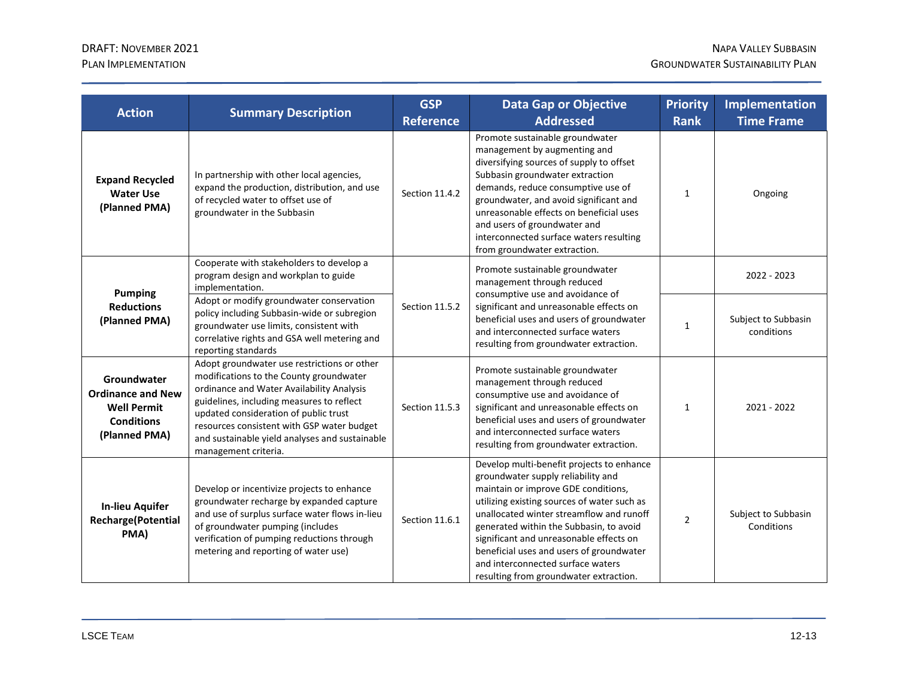| <b>Action</b>                                                                                       | <b>Summary Description</b>                                                                                                                                                                                                                                                                                                                        | <b>GSP</b><br><b>Reference</b> | <b>Data Gap or Objective</b><br><b>Addressed</b>                                                                                                                                                                                                                                                                                                                                                                                   | <b>Priority</b><br><b>Rank</b> | Implementation<br><b>Time Frame</b> |
|-----------------------------------------------------------------------------------------------------|---------------------------------------------------------------------------------------------------------------------------------------------------------------------------------------------------------------------------------------------------------------------------------------------------------------------------------------------------|--------------------------------|------------------------------------------------------------------------------------------------------------------------------------------------------------------------------------------------------------------------------------------------------------------------------------------------------------------------------------------------------------------------------------------------------------------------------------|--------------------------------|-------------------------------------|
| <b>Expand Recycled</b><br><b>Water Use</b><br>(Planned PMA)                                         | In partnership with other local agencies,<br>expand the production, distribution, and use<br>of recycled water to offset use of<br>groundwater in the Subbasin                                                                                                                                                                                    | Section 11.4.2                 | Promote sustainable groundwater<br>management by augmenting and<br>diversifying sources of supply to offset<br>Subbasin groundwater extraction<br>demands, reduce consumptive use of<br>groundwater, and avoid significant and<br>unreasonable effects on beneficial uses<br>and users of groundwater and<br>interconnected surface waters resulting<br>from groundwater extraction.                                               | $\mathbf{1}$                   | Ongoing                             |
| <b>Pumping</b><br><b>Reductions</b><br>(Planned PMA)                                                | Cooperate with stakeholders to develop a<br>program design and workplan to guide<br>implementation.                                                                                                                                                                                                                                               | Section 11.5.2                 | Promote sustainable groundwater<br>management through reduced<br>consumptive use and avoidance of<br>significant and unreasonable effects on<br>beneficial uses and users of groundwater<br>and interconnected surface waters<br>resulting from groundwater extraction.                                                                                                                                                            |                                | 2022 - 2023                         |
|                                                                                                     | Adopt or modify groundwater conservation<br>policy including Subbasin-wide or subregion<br>groundwater use limits, consistent with<br>correlative rights and GSA well metering and<br>reporting standards                                                                                                                                         |                                |                                                                                                                                                                                                                                                                                                                                                                                                                                    | $\mathbf{1}$                   | Subject to Subbasin<br>conditions   |
| Groundwater<br><b>Ordinance and New</b><br><b>Well Permit</b><br><b>Conditions</b><br>(Planned PMA) | Adopt groundwater use restrictions or other<br>modifications to the County groundwater<br>ordinance and Water Availability Analysis<br>guidelines, including measures to reflect<br>updated consideration of public trust<br>resources consistent with GSP water budget<br>and sustainable yield analyses and sustainable<br>management criteria. | Section 11.5.3                 | Promote sustainable groundwater<br>management through reduced<br>consumptive use and avoidance of<br>significant and unreasonable effects on<br>beneficial uses and users of groundwater<br>and interconnected surface waters<br>resulting from groundwater extraction.                                                                                                                                                            | $\mathbf{1}$                   | 2021 - 2022                         |
| <b>In-lieu Aquifer</b><br><b>Recharge</b> (Potential<br>PMA)                                        | Develop or incentivize projects to enhance<br>groundwater recharge by expanded capture<br>and use of surplus surface water flows in-lieu<br>of groundwater pumping (includes<br>verification of pumping reductions through<br>metering and reporting of water use)                                                                                | Section 11.6.1                 | Develop multi-benefit projects to enhance<br>groundwater supply reliability and<br>maintain or improve GDE conditions,<br>utilizing existing sources of water such as<br>unallocated winter streamflow and runoff<br>generated within the Subbasin, to avoid<br>significant and unreasonable effects on<br>beneficial uses and users of groundwater<br>and interconnected surface waters<br>resulting from groundwater extraction. | $\overline{2}$                 | Subject to Subbasin<br>Conditions   |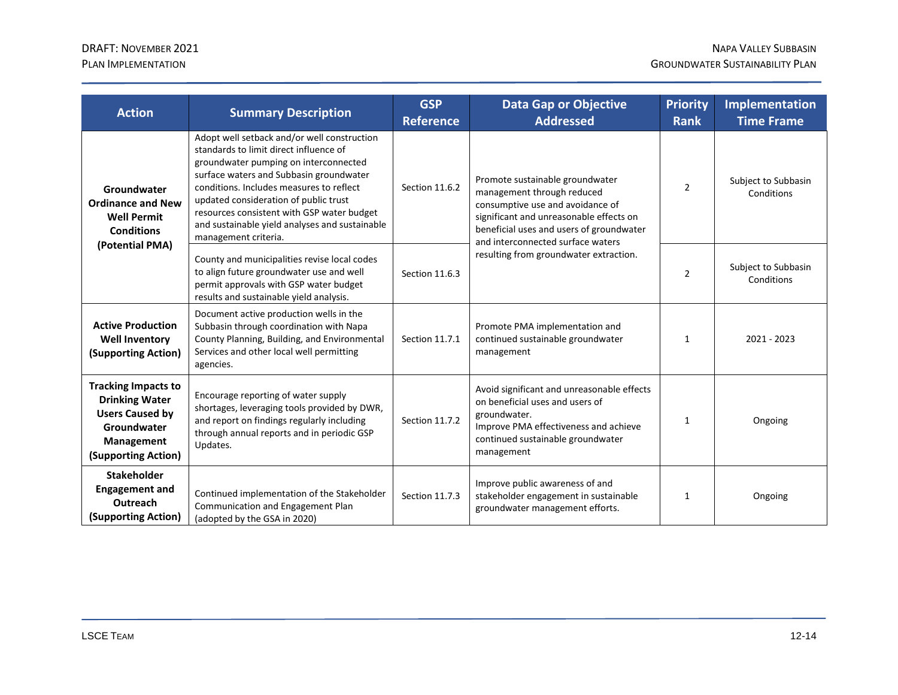| <b>Action</b>                                                                                                                     | <b>Summary Description</b>                                                                                                                                                                                                                                                                                                                                                             | <b>GSP</b><br><b>Reference</b> | <b>Data Gap or Objective</b><br><b>Addressed</b>                                                                                                                                                                                                                        | <b>Priority</b><br><b>Rank</b> | <b>Implementation</b><br><b>Time Frame</b> |
|-----------------------------------------------------------------------------------------------------------------------------------|----------------------------------------------------------------------------------------------------------------------------------------------------------------------------------------------------------------------------------------------------------------------------------------------------------------------------------------------------------------------------------------|--------------------------------|-------------------------------------------------------------------------------------------------------------------------------------------------------------------------------------------------------------------------------------------------------------------------|--------------------------------|--------------------------------------------|
| Groundwater<br><b>Ordinance and New</b><br><b>Well Permit</b><br><b>Conditions</b><br>(Potential PMA)                             | Adopt well setback and/or well construction<br>standards to limit direct influence of<br>groundwater pumping on interconnected<br>surface waters and Subbasin groundwater<br>conditions. Includes measures to reflect<br>updated consideration of public trust<br>resources consistent with GSP water budget<br>and sustainable yield analyses and sustainable<br>management criteria. | Section 11.6.2                 | Promote sustainable groundwater<br>management through reduced<br>consumptive use and avoidance of<br>significant and unreasonable effects on<br>beneficial uses and users of groundwater<br>and interconnected surface waters<br>resulting from groundwater extraction. | $\overline{2}$                 | Subject to Subbasin<br>Conditions          |
|                                                                                                                                   | County and municipalities revise local codes<br>to align future groundwater use and well<br>permit approvals with GSP water budget<br>results and sustainable yield analysis.                                                                                                                                                                                                          | Section 11.6.3                 |                                                                                                                                                                                                                                                                         | $\overline{2}$                 | Subject to Subbasin<br>Conditions          |
| <b>Active Production</b><br><b>Well Inventory</b><br>(Supporting Action)                                                          | Document active production wells in the<br>Subbasin through coordination with Napa<br>County Planning, Building, and Environmental<br>Services and other local well permitting<br>agencies.                                                                                                                                                                                            | Section 11.7.1                 | Promote PMA implementation and<br>continued sustainable groundwater<br>management                                                                                                                                                                                       | $\mathbf{1}$                   | 2021 - 2023                                |
| <b>Tracking Impacts to</b><br><b>Drinking Water</b><br><b>Users Caused by</b><br>Groundwater<br>Management<br>(Supporting Action) | Encourage reporting of water supply<br>shortages, leveraging tools provided by DWR,<br>and report on findings regularly including<br>through annual reports and in periodic GSP<br>Updates.                                                                                                                                                                                            | Section 11.7.2                 | Avoid significant and unreasonable effects<br>on beneficial uses and users of<br>groundwater.<br>Improve PMA effectiveness and achieve<br>continued sustainable groundwater<br>management                                                                               | $\mathbf{1}$                   | Ongoing                                    |
| <b>Stakeholder</b><br><b>Engagement and</b><br>Outreach<br>(Supporting Action)                                                    | Continued implementation of the Stakeholder<br>Communication and Engagement Plan<br>(adopted by the GSA in 2020)                                                                                                                                                                                                                                                                       | Section 11.7.3                 | Improve public awareness of and<br>stakeholder engagement in sustainable<br>groundwater management efforts.                                                                                                                                                             | 1                              | Ongoing                                    |